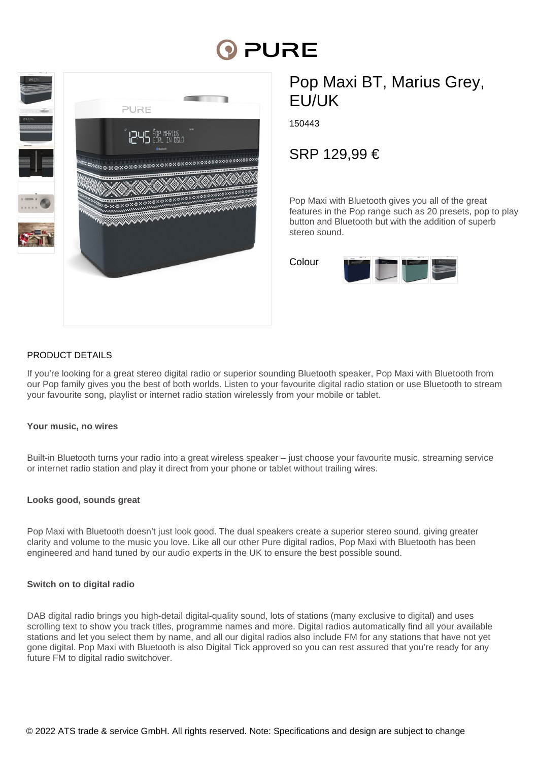# PURE



## Pop Maxi BT, Marius Grey, EU/UK

150443

SRP 129,99 €

Pop Maxi with Bluetooth gives you all of the great features in the Pop range such as 20 presets, pop to play button and Bluetooth but with the addition of superb stereo sound.



#### PRODUCT DETAILS

If you're looking for a great stereo digital radio or superior sounding Bluetooth speaker, Pop Maxi with Bluetooth from our Pop family gives you the best of both worlds. Listen to your favourite digital radio station or use Bluetooth to stream your favourite song, playlist or internet radio station wirelessly from your mobile or tablet.

#### **Your music, no wires**

Built-in Bluetooth turns your radio into a great wireless speaker – just choose your favourite music, streaming service or internet radio station and play it direct from your phone or tablet without trailing wires.

#### **Looks good, sounds great**

Pop Maxi with Bluetooth doesn't just look good. The dual speakers create a superior stereo sound, giving greater clarity and volume to the music you love. Like all our other Pure digital radios, Pop Maxi with Bluetooth has been engineered and hand tuned by our audio experts in the UK to ensure the best possible sound.

#### **Switch on to digital radio**

DAB digital radio brings you high-detail digital-quality sound, lots of stations (many exclusive to digital) and uses scrolling text to show you track titles, programme names and more. Digital radios automatically find all your available stations and let you select them by name, and all our digital radios also include FM for any stations that have not yet gone digital. Pop Maxi with Bluetooth is also Digital Tick approved so you can rest assured that you're ready for any future FM to digital radio switchover.